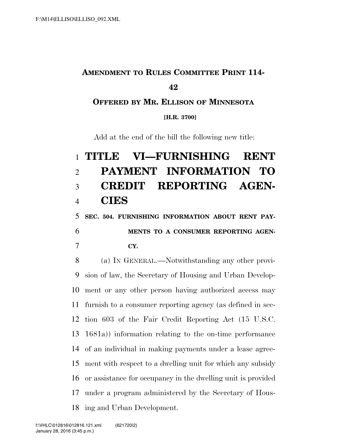## **AMENDMENT TO RULES COMMITTEE PRINT 114-**

## 

**OFFERED BY MR. ELLISON OF MINNESOTA**

**[H.R. 3700]**

Add at the end of the bill the following new title:

## **TITLE VI—FURNISHING RENT PAYMENT INFORMATION TO CREDIT REPORTING AGEN-CIES**

**SEC. 504. FURNISHING INFORMATION ABOUT RENT PAY-**

 **MENTS TO A CONSUMER REPORTING AGEN-CY.** 

 (a) IN GENERAL.—Notwithstanding any other provi- sion of law, the Secretary of Housing and Urban Develop- ment or any other person having authorized access may furnish to a consumer reporting agency (as defined in sec- tion 603 of the Fair Credit Reporting Act (15 U.S.C. 1681a)) information relating to the on-time performance of an individual in making payments under a lease agree- ment with respect to a dwelling unit for which any subsidy or assistance for occupancy in the dwelling unit is provided under a program administered by the Secretary of Hous-ing and Urban Development.